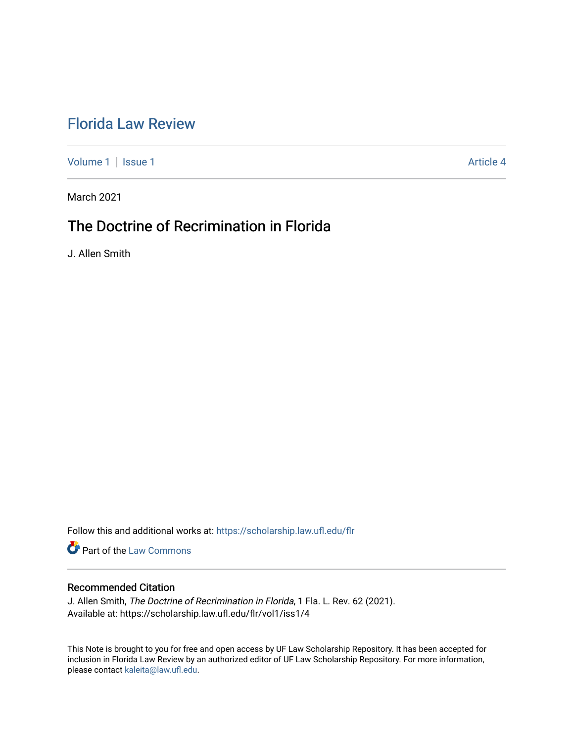# [Florida Law Review](https://scholarship.law.ufl.edu/flr)

[Volume 1](https://scholarship.law.ufl.edu/flr/vol1) | [Issue 1](https://scholarship.law.ufl.edu/flr/vol1/iss1) Article 4

March 2021

# The Doctrine of Recrimination in Florida

J. Allen Smith

Follow this and additional works at: [https://scholarship.law.ufl.edu/flr](https://scholarship.law.ufl.edu/flr?utm_source=scholarship.law.ufl.edu%2Fflr%2Fvol1%2Fiss1%2F4&utm_medium=PDF&utm_campaign=PDFCoverPages)

**Part of the [Law Commons](http://network.bepress.com/hgg/discipline/578?utm_source=scholarship.law.ufl.edu%2Fflr%2Fvol1%2Fiss1%2F4&utm_medium=PDF&utm_campaign=PDFCoverPages)** 

## Recommended Citation

J. Allen Smith, The Doctrine of Recrimination in Florida, 1 Fla. L. Rev. 62 (2021). Available at: https://scholarship.law.ufl.edu/flr/vol1/iss1/4

This Note is brought to you for free and open access by UF Law Scholarship Repository. It has been accepted for inclusion in Florida Law Review by an authorized editor of UF Law Scholarship Repository. For more information, please contact [kaleita@law.ufl.edu](mailto:kaleita@law.ufl.edu).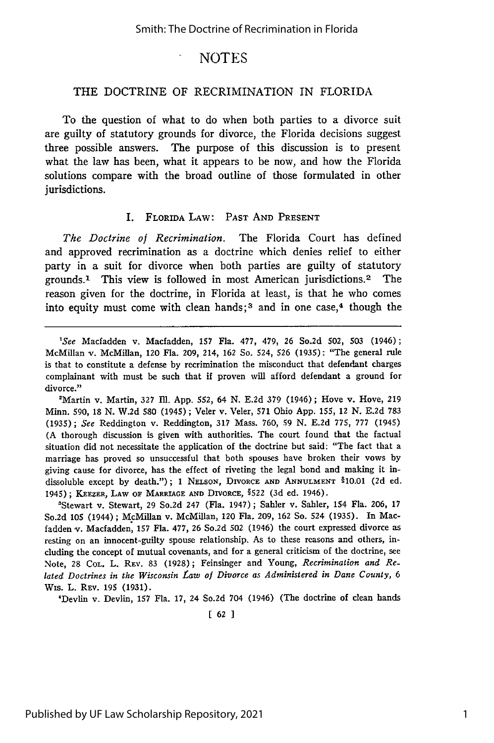### THE DOCTRINE OF RECRIMINATION IN FLORIDA

To the question of what to do when both parties to a divorce suit are guilty of statutory grounds for divorce, the Florida decisions suggest three possible answers. The purpose of this discussion is to present what the law has been, what it appears to be now, and how the Florida solutions compare with the broad outline of those formulated in other jurisdictions.

#### I. FLORIDA LAw: PAST **AND PRESENT**

*The Doctrine of Recrimination.* The Florida Court has defined and approved recrimination as a doctrine which denies relief to either party in a suit for divorce when both parties are guilty of statutory grounds. 1 This view is followed in most American jurisdictions. 2 The reason given for the doctrine, in Florida at least, is that he who comes into equity must come with clean hands;<sup>3</sup> and in one case, $4$  though the

'Martin v. Martin, **327** IMl. App. 552, 64 N. **E.2d 379** (1946); Hove v. Hove, **219** Minn. 590, 18 N. W.2d 580 (1945); Veler v. Veler, 571 Ohio App. 155, 12 N. **E.2d 783** (1935); *See* Reddington **v.** Reddington, **317** Mass. 760, **59** N. **E.2d 775, 777** (1945) (A thorough discussion is given with authorities. The court found that the factual situation did not necessitate the application of the doctrine but said: "The fact that a marriage has proved so unsuccessful that both spouses have broken their vows **by** giving cause for divorce, has the effect of riveting the legal bond and making it indissoluble except by death."); 1 NELSON, DIVORCE **AND ANNULMENT** §10.01 (2d ed. 1945); KEEZER, LAW **OF** MARRIAGE **AND** DIVORCE, **§522** (3d ed. 1946).

'Stewart v. Stewart, **29** So.2d 247 (Fla. 1947); Sahler v. Sahler, 154 Fla. 206, 17 So.2d **105** (1944); McMillan v. McMillan, 120 Fla. 209, **162** So. 524 (1935). In Macfadden v. Macfadden, **157** Fla. 477, **26** So.2d **502** (1946) the court expressed divorce as resting on an innocent-guilty spouse relationship. As to these reasons and others, including the concept of mutual covenants, and for a general criticism of the doctrine, see Note, **28 COL.** L. **REV. 83** (1928); Feinsinger and Young, *Recrimination and Related Doctrines in the Wisconsin Law of Divorce as Administered in Dane County, 6* Wis. L. REV. 195 (1931).

'Devlin v. Devlin, 157 Fla. 17, 24 So.2d 704 (1946) (The doctrine of clean hands

**[ 62 1**

*<sup>&#</sup>x27;See* Macfadden v. Macfadden, 157 Fla. **477,** 479, **26** So.2d 502, **503** (1946); McMillan v. McMillan, 120 Fla. 209, 214, **162** So. 524, **526** (1935): "The general rule is that to constitute a defense by recrimination the misconduct that defendant charges complainant with must be such that if proven will afford defendant a ground for divorce."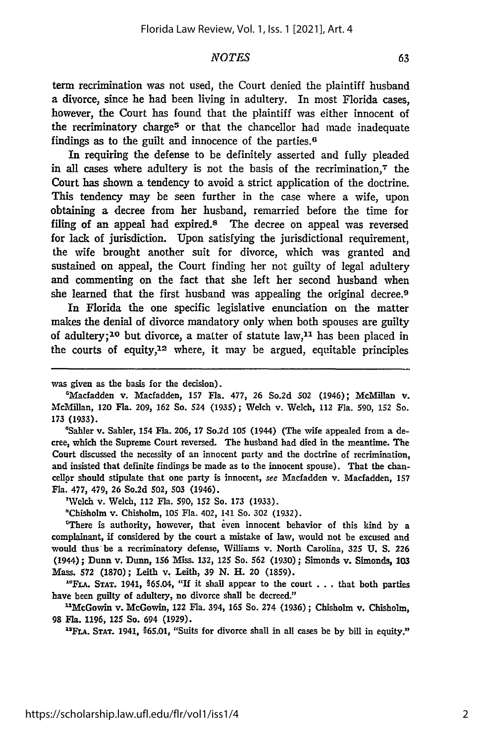term recrimination was not used, the Court denied the plaintiff husband a divorce, since he had been living in adultery. In most Florida cases, however, the Court has found that the plaintiff was either innocent of the recriminatory charge5 or that the chancellor had made inadequate findings as to the guilt and innocence of the parties. <sup>6</sup>

In requiring the defense to be definitely asserted and fully pleaded in all cases where adultery is not the basis of the recrimination, $\tau$  the Court has shown a tendency to avoid a strict application of the doctrine. This tendency may be seen further in the case where a wife, upon obtaining a decree from her husband, remarried before the time for filing of an appeal had expired.<sup>8</sup> The decree on appeal was reversed for lack of jurisdiction. Upon satisfying the jurisdictional requirement, the wife brought another suit for divorce, which was granted and sustained on appeal, the Court finding her not guilty of legal adultery and commenting on the fact that she left her second husband when she learned that the first husband was appealing the original decree.9

In Florida the one specific legislative enunciation on the matter makes the denial of divorce mandatory only when both spouses are guilty of adultery;<sup>10</sup> but divorce, a matter of statute law,<sup>11</sup> has been placed in the courts of equity,12 where, it may be argued, equitable principles

was given as the basis for the decision).

'Sahler v. Sahler, 154 Fla. **206, 17** So.2d **105** (1944) (The wife appealed from a decree, which the Supreme Court reversed. The husband had died in the meantime. The Court discussed the necessity of an innocent party and the doctrine of recrimination, and insisted that definite findings be made as to the innocent spouse). That the chancellor should stipulate that one party is innocent, see Macfadden v. Macfadden, **157** Fla. **477,** 479, **26** So.2d 502, **503** (1946).

'Welch v. Welch, 112 Fla. **590, 152** So. **173 (1933).**

"Chisholm v. Chisholm, **105** Fla. 402, 141 So. **302 (1932).**

'There is authority, however, that even innocent behavior of this kind **by** a complainant, **if** considered **by** the court a mistake of law, would not be excused and would thus-be a recriminatory defense, Williams v. North Carolina, **325 U. S. 226** (1944); Dunn v. Dunn, **156** Miss. **132,** 125 So. **562 (1930);** Simonds v. Simonds, **103** Mass. **572 (1870);** Leith v. Leith, **39 N.** H. 20 **(1859).**

**"Fx.A.** STAT. 1941, §65.04, "If it shall appear to the court **. . .** that both parties have been guilty of adultery, no divorce shall be decreed."

"McGowin v. McGowin, 122 Fla. 394, **165** So. 274 **(1936) ;** Chisholm v. Chisholm, **98** Fla. **1196,** 125 So. 694 **(1929).**

**"'FLA. STAT. 1941,** §65.01, "Suits for divorce shall in all cases be by bill in equity."

<sup>&#</sup>x27;Macfadden v. Macfadden, **157** Fla. **477, 26** So.2d **502** (1946); McMillan v. McMillan, 120 Fla. **209, 162** So. 524 **(1935);** Welch v. Welch, 112 Fla. **590, 152** So. **173** (1933).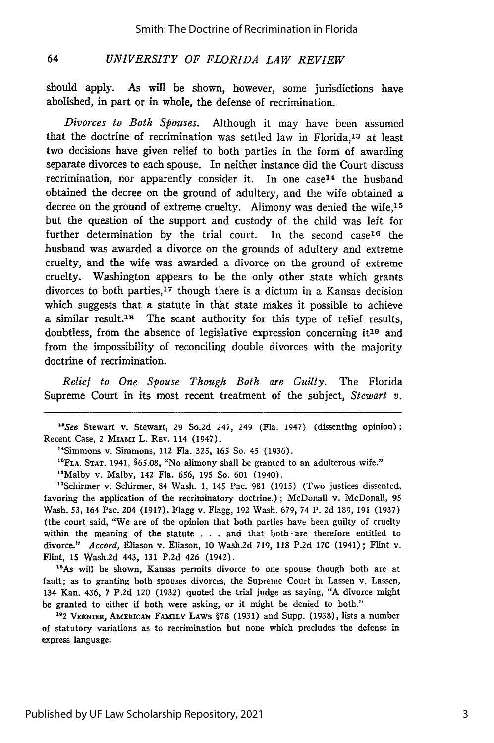#### *UNIVERSITY OF FLORIDA LAW REVIEW* 64

should apply. As will be shown, however, some jurisdictions have abolished, in part or in whole, the defense of recrimination.

*Divorces to Both Spouses.* Although it may have been assumed that the doctrine of recrimination was settled law in Florida,<sup>13</sup> at least two decisions have given relief to both parties in the form of awarding separate divorces to each spouse. In neither instance did the Court discuss recrimination, nor apparently consider it. In one case<sup>14</sup> the husband obtained the decree on the ground of adultery, and the wife obtained a decree on the ground of extreme cruelty. Alimony was denied the wife, $15$ but the question of the support and custody of the child was left for further determination by the trial court. In the second  $case^{16}$  the husband was awarded a divorce on the grounds of adultery and extreme cruelty, and the wife was awarded a divorce on the ground of extreme cruelty. Washington appears to be the only other state which grants divorces to both parties,<sup>17</sup> though there is a dictum in a Kansas decision which suggests that a statute in that state makes it possible to achieve a similar result.<sup>18</sup> The scant authority for this type of relief results, doubtless, from the absence of legislative expression concerning it19 and from the impossibility of reconciling double divorces with the majority doctrine of recrimination.

*Relief to One Spouse Though Both are Guilty.* The Florida Supreme Court in its most recent treatment of the subject, *Stewart v.*

*"See* Stewart v. Stewart, 29 So.2d 247, 249 (Fla. 1947) (dissenting opinion); Recent Case, 2 MIAMI L. **REv.** 114 (1947).

"Simmons v. Simmons, 112 Fla. **325, 165** So. 45 (1936).

**"'FLA.** STAT. 1941, §65.08, "No alimony shall be granted to an adulterous wife."

<sup>16</sup>Malby v. Malby, 142 Fla. 656, 195 So. 601 (1940)

"Schirmer v. Schirmer, 84 Wash. **1,** 145 Pac. 981 (1915) (Two justices dissented, favoring the application of the recriminatory doctrine.); McDonall v. McDonall, 95 Wash. 53, 164 Pac. 204 (1917). Flagg v. Flagg, 192 Wash. 679, 74 P. 2d 189, 191 (1937) (the court said, "We are of the opinion that both parties have been guilty of cruelty within the meaning of the statute . . . and that both -are therefore entitled to divorce." *Accord,* Eliason v. Eliason, 10 Wash.2d 719, 118 P.2d 170 (1941); Flint v. Flint, 15 Wash.2d 443, **131** P.2d 426 (1942).

<sup>18</sup>As will be shown, Kansas permits divorce to one spouse though both are at fault; as to granting both spouses divorces, the Supreme Court in Lassen v. Lassen, 134 Kan. 436, 7 P.2d 120 (1932) quoted the trial judge as saying, "A divorce might be granted to either if both were asking, or it might be denied to both."

1"2 VERNIER, AmERIcAN FAMILY LAWS §78 (1931) and Supp. (1938), lists a number of statutory variations as to recrimination but none which precludes the defense in express language.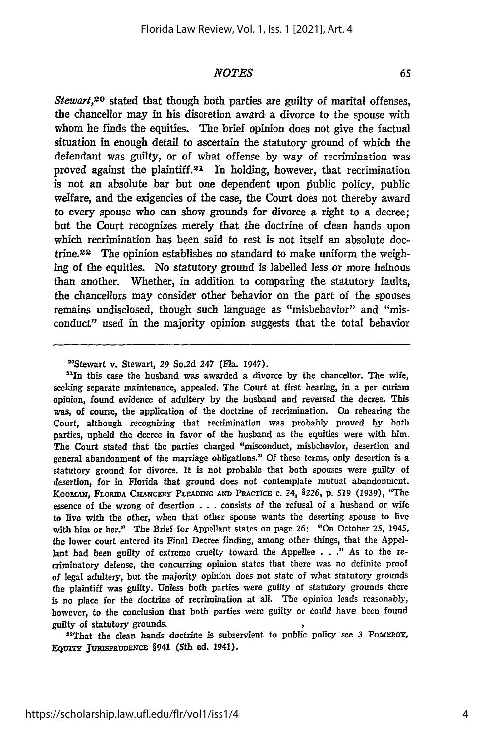*Stewart,20* stated that though both parties are guilty of marital offenses, the chancellor may in his discretion award a divorce to the spouse with whom he finds the equities. The brief opinion does not give the factual situation in enough detail to ascertain the statutory ground of which the defendant was guilty, or of what offense **by** way of recrimination was proved against the plaintiff.21 In holding, however, that recrimination is not an absolute bar but one dependent upon public policy, public welfare, and the exigencies of the case, the Court does not thereby award to every spouse who can show grounds for divorce a right to a decree; but the Court recognizes merely that the doctrine of clean hands upon which recrimination has been said to rest is not itself an absolute doctrine.<sup>22</sup> The opinion establishes no standard to make uniform the weighing of the equities. No statutory ground is labelled less or more heinous than another. Whether, in addition to comparing the statutory faults, the chancellors may consider other behavior on the part of the spouses remains undisclosed, though such language as "misbehavior" and "misconduct" used in the majority opinion suggests that the total behavior

"In this case the husband was awarded a divorce **by** the chancellor. The wife, seeking separate maintenance, appealed. The Court at first hearing, in a per curiam opinion, found evidence of adultery **by** the husband and reversed the decree. This was, of course, the application of the doctrine of recrimination. On rehearing the Court, although recognizing that recrimination was probably proved **by** both parties, upheld the decree in favor of the husband as the equities were with him. The Court stated that the parties charged "misconduct, misbehavior, desertion and general abandonment of the marriage obligations." **Of** these terms, only desertion is a statutory ground for divorce. It is not probable that both spouses were guilty of desertion, for in Florida that ground does not contemplate mutual abandonment. KoomAw, **FLORIDA** CHANCERY **PLEADING AND** *PRACTICE* c. 24, *§226,* **p. 519 (1939),** "The essence of the wrong of desertion **. . .** consists of the refusal of a husband or wife to live with the other, when that other spouse wants the deserting spouse to live with him or her." The Brief for Appellant states on page **26:** "On October **25,** 1945, the lower court entered its Final Decree finding, among other things, that the **Appel**lant had been guilty of extreme cruelty toward the Appellee **. . ."** As to the recriminatory defense, the concurring **opinion** states that there was no definite proof of legal adultery, but the majority opinion does not state of what statutory grounds the plaintiff was guilty. Unless both parties were guilty of statutory grounds there is no place for the doctrine of recrimination at all. The opinion leads reasonably, however, to the conclusion that both parties were guilty or Could have been found guilty of statutory grounds.

22That the clean hands doctrine is subservient to public policy see **3** PoMEROY, EQUITY JURISPRUDENCE §941 (5th ed. 1941).

<sup>20</sup>Stewart v. Stewart, **29** So.2d 247 (Fla. 1947).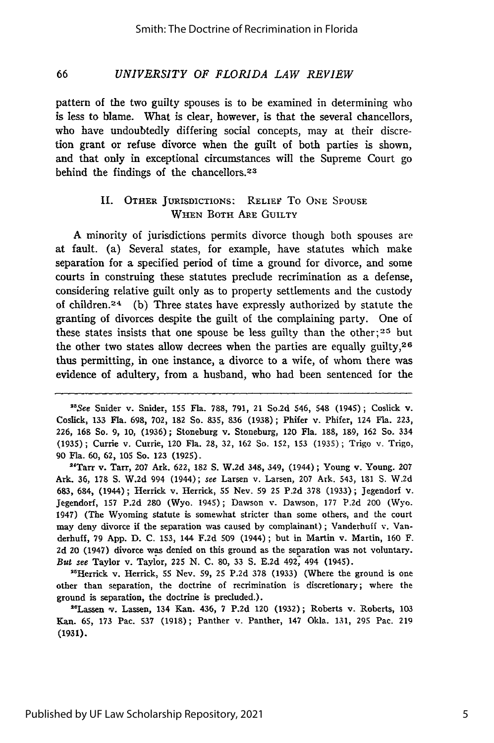#### *UNIVERSITY OF FLORIDA LAW REVIEW* 66

pattern of the two guilty spouses is to be examined in determining who is less to blame. What is clear, however, is that the several chancellors, who have undoubtedly differing social concepts, may at their discretion grant or refuse divorce when the guilt of both parties is shown, and that only in exceptional circumstances will the Supreme Court go behind the findings of the chancellors. <sup>23</sup>

## **11.** OTHER JURISDICTIONS: RELIEF To **ONE SPOUSE** WHEN BOTH ARE GUILTY

A minority of jurisdictions permits divorce though both spouses are at fault. (a) Several states, for example, have statutes which make separation for a specified period of time a ground for divorce, and some courts in construing these statutes preclude recrimination as a defense, considering relative guilt only as to property settlements and the custody of children.2 4 (b) Three states have expressly authorized by statute the granting of divorces despite the guilt of the complaining party. One of these states insists that one spouse be less guilty than the other; 26 but the other two states allow decrees when the parties are equally guilty,  $26$ thus permitting, in one instance, a divorce to a wife, of whom there was evidence of adultery, from a husband, who had been sentenced for the

*<sup>3</sup>*See Snider v. Snider, 155 Fla. 788, 791, 21 So.2d 546, 548 (1945); Coslick v. Coslick, 133 FIa. 698, 702, 182 So. 835, 836 (1938); Phifer v. Phifer, 124 Fla. 223, 226, 168 So. 9, 10, (1936); Stoneburg v. Stoneburg, 120 Fla. 188, 189, 162 So. 334 (1935); Currie v. Currie, 120 Fla. 28, 32, 162 So. 152, 153 (1935); Trigo v. Trigo, 90 Fla. 60, **62,** 105 So. 123 (1925).

"Tarr v. Tarr, **207** Ark. **622, 182** S. W.2d 348, 349, (1944); Young v. Young. **207** Ark. 36, 178 S. W.2d 994 (1944); see Larsen v. Larsen, 207 Ark. 543, 181 S. W.2d 683, 684, (1944); Herrick v. Herrick, 55 Nev. 59 **25 P.2d** 378 (1933); Jegendori v. Jegendorf, 157 P.2d 280 (Wyo. 1945); Dawson v. Dawson, 177 P.2d 200 (Wyo. 1947) (The Wyoming statute is somewhat stricter than some others, and the court may deny divorce if the separation was caused by complainant); Vanderhuff v. Vanderhuff, 79 App. D. C. 153, 144 F.2d 509 (1944); but in Martin v. Martin, 160 F. 2d 20 (1947) divorce was denied on this ground as the separation was not voluntary. *But* see Taylor v. Taylor, 225 N. C. 80, 33 S. E.2d 492, 494 (1945).

"Herrick v. Herrick, **55** Nev. **59, 25 P.2d 378** (1933) (Where the ground is one other than separation, the doctrine of recrimination is discretionary; where the ground is separation, the doctrine is precluded.).

"Lassen v. Lassen, 134 Kan. 436, 7 P.2d 120 (1932); Roberts v. Roberts, 103 Kan. 65, 173 Pac. 537 (1918); Panther v. Panther, 147 Okla. 131, **295** Pac. 219 (1931).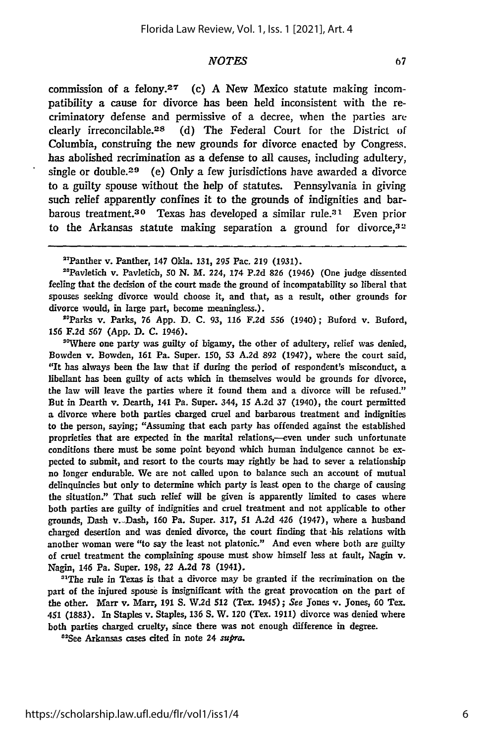commission of a felony.<sup>27</sup> (c) A New Mexico statute making incompatibility a cause for divorce has been held inconsistent with the recriminatory defense and permissive of a decree, when the parties are clearly irreconcilable. 28 (d) The Federal Court for the District of Columbia, construing the new grounds for divorce enacted by Congress. has abolished recrimination as a defense to all causes, including adultery, single or double.<sup>29</sup> (e) Only a few jurisdictions have awarded a divorce to a guilty spouse without the help of statutes. Pennsylvania in giving such relief apparently confines it to the grounds of indignities and barbarous treatment.<sup>30</sup> Texas has developed a similar rule.<sup>31</sup> Even prior to the Arkansas statute making separation a ground for divorce,  $32$ 

"Pavletich v. Pavleticb, **50** N. M. 224, 174 **P.2d 826** (1946) (One judge dissented feeling that the decision of the court made the ground of incompatability so liberal that spouses seeking divorce would choose it, and that, as a result, other grounds for divorce would, in large part, become meaningless.).

"Parks v. Parks, 76 App. **D.** C. **93,** 116 **F.2d 556** (1940); Buford v. Buford, **156** F.2d 567 (App. **D. C.** 1946).

<sup>30</sup>Where one party was guilty of bigamy, the other of adultery, relief was denied, Bowden v. Bowden, 161 Pa. Super. 150, **53** A.2d **892** (1947), where the court said, "It has always been the law that if during the period of respondent's misconduct, a libellant has been guilty of acts which in themselves would be grounds for divorce, the law will leave the parties where it found them and a divorce will be refused." But in Dearth v. Dearth, 141 Pa. Super. 344, **15 A.2d 37** (1940), the court permitted a divorce where both parties charged cruel and barbarous treatment and indignities to the person, saying; "Assuming that each party has offended against the established proprieties that are expected in the marital relations,--even under such unfortunate conditions there must be some point beyond which human indulgence cannot be expected to submit, and resort to the courts may rightly **be** had to sever a relationship no longer endurable. We are not called upon to balance such an account of mutual delinquincies but only to determine which party is least open to the charge of causing the situation." That such relief will be given is apparently limited to cases where both parties are guilty of indignities and cruel treatment and not applicable to other grounds, Dash v.-Dash, **160** Pa. Super. 317, **51 A.2d** 426 (1947), where a husband charged desertion and was denied divorce, the court finding that -his relations with another woman were "to say the least not platonic." And even where both are guilty of cruel treatment the complaining spouse must show himself less at fault, Nagin v. Nagin, 146 Pa. Super. 198, 22 **A.2d 78** (1941).

"The rule in Texas is that a divorce may **be** granted if the recrimination on the part of the injured spouse is insignificant with the great provocation on the part of the other. Marr v. Marr, 191 S. **W.2d** 512 (Tex. 1945); *See* Jones v. Jones, **60** Tex. 451 (1883). In Staples v. Staples, **136 S.** W. 120 (Tex. 1911) divorce was denied where both parties charged cruelty, since there was not enough difference in degree.

"See Arkansas cases cited in note 24 *supra.*

<sup>&#</sup>x27; Panther v. Panther, 147 Okla. **131, 295** Pac. **219 (1931).**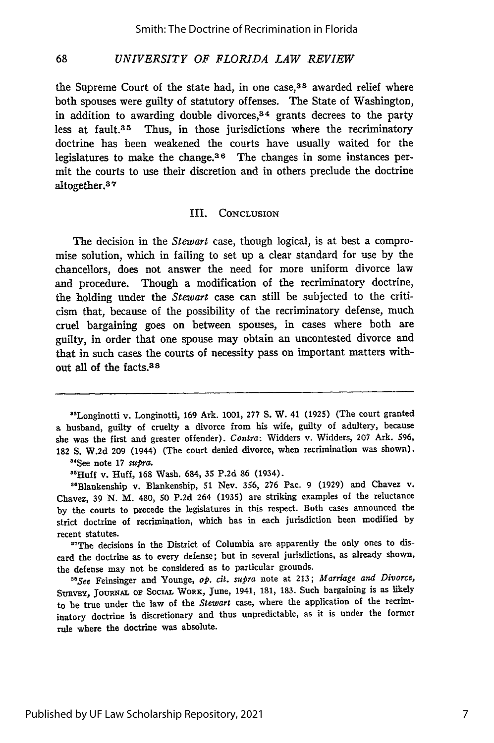#### 68 *UNIVERSITY OF FLORIDA LAW REVIEW*

the Supreme Court of the state had, in one case,<sup>33</sup> awarded relief where both spouses were guilty of statutory offenses. The State of Washington, in addition to awarding double divorces, $34$  grants decrees to the party less at fault.<sup>35</sup> Thus, in those jurisdictions where the recriminatory doctrine has been weakened the courts have usually waited for the legislatures to make the change.<sup>36</sup> The changes in some instances permit the courts to use their discretion and in others preclude the doctrine altogether. <sup>3</sup> <sup>7</sup>

### III. CONCLUSION

The decision in the *Stewart* case, though logical, is at best a compromise solution, which in failing to set up a clear standard for use by the chancellors, does not answer the need for more uniform divorce law and procedure. Though a modification of the recriminatory doctrine, the holding under the *Stewart* case can still be subjected to the criticism that, because of the possibility of the recriminatory defense, much cruel bargaining goes on between spouses, in cases where both are guilty, in order that one spouse may obtain an uncontested divorce and that in such cases the courts of necessity pass on important matters without all of the facts.<sup>38</sup>

<sup>34</sup>See note 17 *supra*.<br><sup>3517</sup>11ff 11 Unff 169

<sup>36</sup>Huff v. Huff, 168 Wash. 684, 35 P.2d 86 (1934).<br><sup>86</sup>Blankenship v. Blankenship, 51 Nev. 356, 276 Pac. 9 (1929) and Chavez v. Chavez, 39 N. M. 480, 50 P.2d 264 (1935) are striking examples of the reluctance by the courts to precede the legislatures in this respect. Both cases announced the strict doctrine of recrimination, which has in each jurisdiction been modified by recent statutes.

<sup>37</sup>The decisions in the District of Columbia are apparently the only ones to discard the doctrine as to every defense; but in several jurisdictions, as already shown, the defense may not be considered as to particular grounds.

*3 aSee* Feinsinger and Younge, *op. cit. supra* note at 213; *Marriage and Divorce,* **SURVEY, JOURNAL OF** SOCIAL WORK, June, 1941, 181, 183. Such bargaining is as likely to be true under the law of the *Stewart* case, where the application of the recriminatory doctrine is discretionary and thus unpredictable, as it is under the former rule where the doctrine was absolute.

<sup>8&#</sup>x27;Longinotti v. Longinotti, 169 Ark. 1001, 277 S. W. 41 (1925) (The court granted a husband, guilty of cruelty a divorce from his wife, guilty of adultery, because she was the first and greater offender). *Contra:* Widders v. Widders, 207 Ark. **596,** 182 **S.** W.2d 209 (1944) (The court denied divorce, when recrimination was shown).